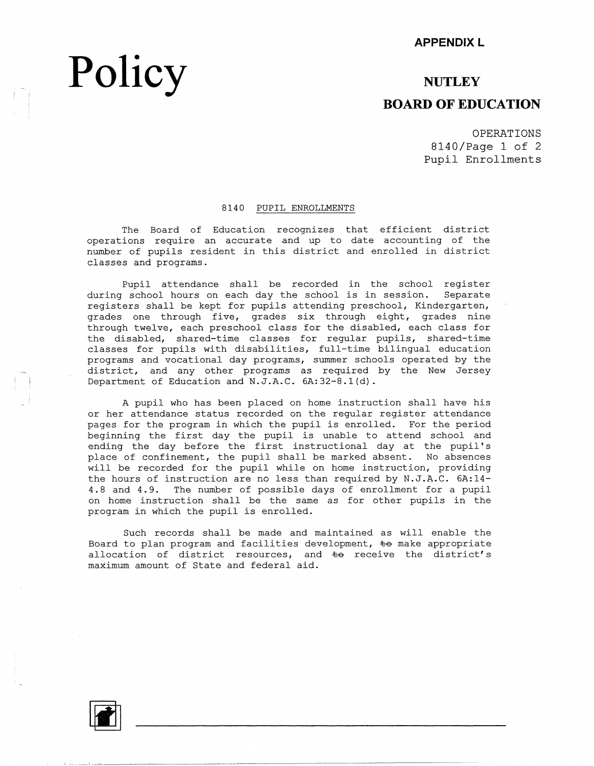#### **APPENDIX L**

### **NUTLEY BOARD OF EDUCATION**

OPERATIONS 8140/Page 1 of 2 Pupil Enrollments

#### 8140 PUPIL ENROLLMENTS

The Board of Education recognizes that efficient district operations require an accurate and up to date accounting of the number of pupils resident in this district and enrolled in district classes and programs.

Pupil attendance shall be recorded in the school register during school hours on each day the school is in session. Separate registers shall be kept for pupils attending preschool, Kindergarten, grades one through five, grades six through eight, grades nine through twelve, each preschool class for the disabled, each class for the disabled, shared-time classes for regular pupils, shared-time classes for pupils with disabilities, full-time bilingual education programs and vocational day programs, summer schools operated by the district, and any other programs as required by the New Jersey Department of Education and N.J.A.C. 6A:32-8.l(d).

A pupil who has been placed on home instruction shall have his or her attendance status recorded on the regular register attendance pages for the program in which the pupil is enrolled. For the period beginning the first day the pupil is unable to attend school and ending the day before the first instructional day at the pupil's place of confinement, the pupil shall be marked absent. No absences will be recorded for the pupil while on home instruction, providing the hours of instruction are no less than required by N.J.A.C. 6A:14- 4.8 and 4.9. The number of possible days of enrollment for a pupil on home instruction shall be the same as for other pupils in the program in which the pupil is enrolled.

Such records shall be made and maintained as will enable the Board to plan program and facilities development,  $\pm\Theta$  make appropriate allocation of district resources, and  $\pm$ o receive the district's maximum amount of State and federal aid.



**Policy**